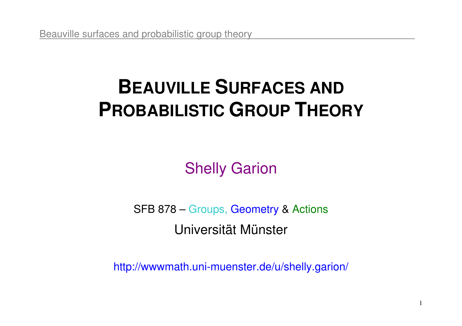# **BEAUVILLE SURFACES ANDPROBABILISTIC GROUP THEORY**

Shelly Garion

SFB 878 – Groups, Geometry & Actions Universität Münster

http://wwwmath.uni-muenster.de/u/shelly.garion/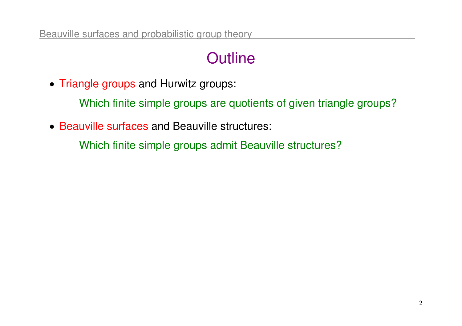## **Outline**

- Triangle groups and Hurwitz groups:
	- Which finite simple groups are quotients of given triangle groups?
- Beauville surfaces and Beauville structures:
	- Which finite simple groups admit Beauville structures?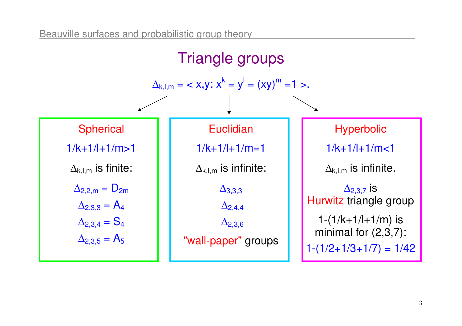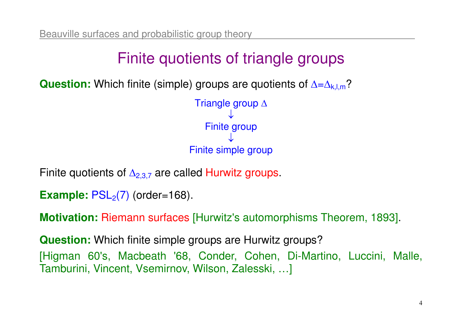## Finite quotients of triangle groups

**Question:** Which finite (simple) groups are quotients of ∆=<sup>∆</sup>k,l,m?



Finite quotients of  $\Delta_{2,3,7}$  are called Hurwitz groups.

```
Example: PSL<sub>2</sub>(7) (order=168).
```
**Motivation:** Riemann surfaces [Hurwitz's automorphisms Theorem, 1893].

**Question:** Which finite simple groups are Hurwitz groups? [Higman 60's, Macbeath '68, Conder, Cohen, Di-Martino, Luccini, Malle, Tamburini, Vincent, Vsemirnov, Wilson, Zalesski, …]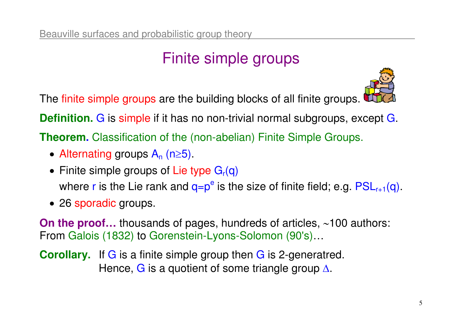## Finite simple groups

The finite simple groups are the building blocks of all finite groups.



**Definition.**G is simple if it has no non-trivial normal subgroups, except G.

**Theorem.** Classification of the (non-abelian) Finite Simple Groups.

- Alternating groups  $A_n$  (n≥5).
- $\bullet\,$  Finite simple groups of Lie type  $\mathsf{G}_{\mathsf{r}}(\mathsf{q})$ where r is the Lie rank and  $q=p^e$  is the size of finite field; e.g.  $PSL_{r+1}(q)$ .
- 26 sporadic groups.

**On the proof…** thousands of pages, hundreds of articles, ∼100 authors:<br>From Galois (1832) to Gorenstein-Lyons-Solomon (90's) From Galois (1832) to Gorenstein-Lyons-Solomon (90's)…

**Corollary.** If G is a finite simple group then G is 2-generatred. Hence, G is a quotient of some triangle group ∆.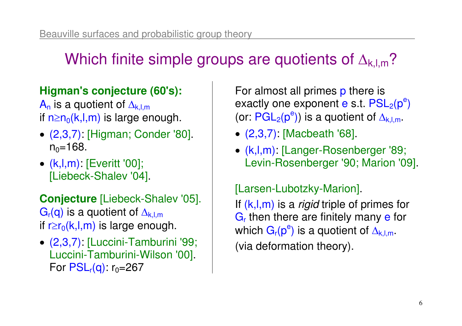## Which finite simple groups are quotients of  $\Delta_{k,l,m}$ ?

#### **Higman's conjecture (60's):**

 $\mathsf{A}_\mathsf{n}$  is a quotient of  $\Delta_{\mathsf{k},\mathsf{l},\mathsf{m}}$ if n≥n<sub>0</sub>(k,l,m) is large enough.

- (2,3,7): [Higman; Conder '80].  $\mathsf{n}_0\!\!=\!\!168.$
- (k,l,m): [Everitt '00]; [Liebeck-Shalev '04].

**Conjecture** [Liebeck-Shalev '05]. $\mathsf{G}_\mathsf{r}(\mathsf{q})$  is a quotient of  $\Delta_{\mathsf{k},\mathsf{l},\mathsf{m}}$ if r≥r $_0$ (k,l,m) is large enough.

• (2,3,7): [Luccini-Tamburini '99; Luccini-Tamburini-Wilson '00]. For PSL<sub>r</sub>(q): r<sub>0</sub>=267

For almost all primes p there is exactly one exponent e s.t.  $\mathsf{PSL}_2(\mathsf{p}^{\mathsf{e}})$ (or:  $\mathsf{PGL}_2(\mathsf{p}^{\mathsf{e}})$ ) is a quotient of  $\Delta_{\mathsf{k},\mathsf{l},\mathsf{m}}$  .

- (2,3,7): [Macbeath '68].
- (k,l,m) [Langer-Rosenberger '89; Levin-Rosenberger '90; Marion '09].

#### [Larsen-Lubotzky-Marion].

If  $(k,l,m)$  is a *rigid* triple of primes for G<sub>r</sub> then there are finitely many e for which  $\mathsf{G_r(p^e)}$  is a quotient of  $\Delta_{\mathsf{k},\mathsf{l},\mathsf{m}}.$ (via deformation theory).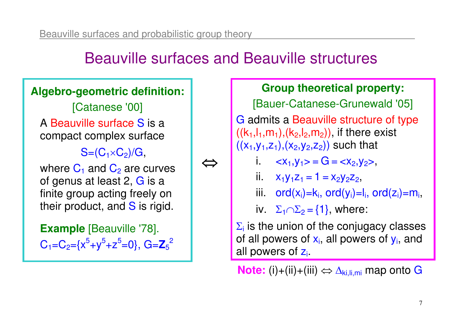### Beauville surfaces and Beauville structures

⇔

#### **Algebro-geometric definition:**

[Catanese '00] A Beauville surface S is a compact complex surface

 $\mathbb{S}{=}( \mathbb{C}_1 {\times} \mathbb{C}_2 )$ /G,

where  $\mathsf{C}_1$  and  $\mathsf{C}_2$  are curves of genus at least 2, G is a finite group acting freely on their product, and  $S$  is rigid.

**Example** [Beauville '78]. C1=C2={x<sup>5</sup>+y<sup>5</sup>+z<sup>5</sup>=0}, G=**Z**52

#### **Group theoretical property:**

[Bauer-Catanese-Grunewald '05]

G admits a Beauville structure of type  $((\mathsf{k}_1, \mathsf{l}_1, \mathsf{m}_1),(\mathsf{k}_2, \mathsf{l}_2, \mathsf{m}_2))$ , if there exist  $V - V ((x_1,y_1,z_1),(x_2,y_2,z_2))$  such that

- i.  $\langle x_1, y_1 \rangle = G = \langle x_2, y_2 \rangle$
- ii.  $x_1y_1z_1 = 1 = x_2y_2z_2$ ,
- iii.  $ord(x_i)=k_i$ ,  $ord(y_i)=l_i$ ,  $ord(z_i)=m_i$ ,

iv.  $\Sigma_1 \cap \Sigma_2 = \{1\}$ , where:

 $\Sigma_i$  is the union of the conjugacy classes of all powers of  $x_i$ , all powers of  $y_i$ , and all powers of z<sub>i</sub>.

**Note:** (i)+(ii)+(iii) ⇔ ∆<sub>ki,li,mi</sub> map onto G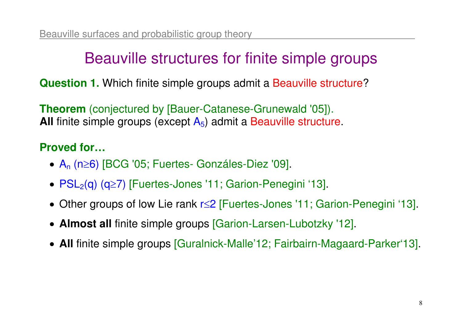### Beauville structures for finite simple groups

**Question 1.** Which finite simple groups admit a Beauville structure?

**Theorem** (conjectured by [Bauer-Catanese-Grunewald '05]). **All** finite simple groups (except A<sub>5</sub>) admit a Beauville structure.

#### **Proved for…**

- •An (n≥6) [BCG '05; Fuertes- Gonzáles-Diez '09].
- $PSL<sub>2</sub>(q)$  (q≥7) [Fuertes-Jones '11; Garion-Penegini '13].
- Other groups of low Lie rank r≤2 [Fuertes-Jones '11; Garion-Penegini '13].
- **Almost all** finite simple groups [Garion-Larsen-Lubotzky '12].
- **All** finite simple groups [Guralnick-Malle'12; Fairbairn-Magaard-Parker'13].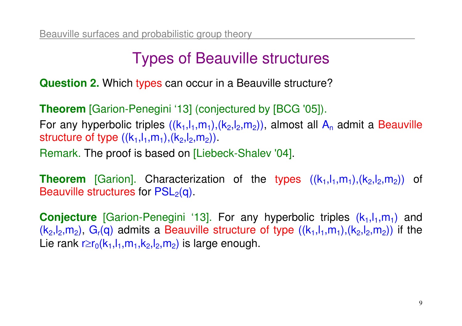### Types of Beauville structures

**Question 2.** Which types can occur in a Beauville structure?

**Theorem** [Garion-Penegini '13] (conjectured by [BCG '05]). For any hyperbolic triples  $((k_1,l_1,m_1),(k_2,l_2,m_2))$ , almost all  $\mathsf{A}_\mathsf{n}$  admit a Beauville structure of type  $((k_1, l_1, m_1), (k_2, l_2, m_2))$ Remark. The proof is based on [Liebeck-Shalev '04].

**Theorem** [Garion]. Characterization of the types  $((k_1, l_1, m_1), (k_2, l_2, m_2))$  of Beauville structures for  $\mathsf{PSL}_2(\mathsf{q})$  .

**Conjecture** [Garion-Penegini '13]. For any hyperbolic triples ( $k_1, l_1, m_1$ ) and  $(k_2, l_2, m_2)$ ,  $G_r(q)$  admits a Beauville structure of type  $((k_1, l_1, m_1), (k_2, l_2, m_2))$  if the Lie rank r≥r $_0$ (k $_1,$ l $_1,$ m $_1,$ k $_2,$ l $_2,$ m $_2)$  is large enough.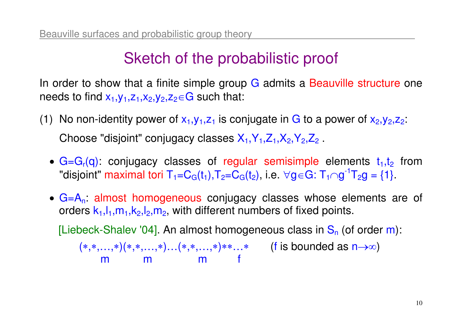### Sketch of the probabilistic proof

In order to show that a finite simple group G admits a Beauville structure one needs to find  $x_1,y_1,z_1,x_2,y_2,z_2{\in}\mathsf{G}$  such that:

- (1) No non-identity power of  $x_1,y_1,z_1$  is conjugate in G to a power of  $x_2,y_2,z_2$ : Choose "disjoint" conjugacy classes  $\mathsf{X}_1,\mathsf{Y}_1,\mathsf{Z}_1,\mathsf{X}_2,\mathsf{Y}_2,\mathsf{Z}_2$  .
	- $G = G<sub>r</sub>(q)$ : conjugacy classes of regular semisimple elements  $t<sub>1</sub>, t<sub>2</sub>$  from "disjoint" maximal tori T<sub>1</sub>=C<sub>G</sub>(t<sub>1</sub>),T<sub>2</sub>=C<sub>G</sub>(t<sub>2</sub>), i.e. ∀g∈G: T<sub>1</sub>∩g<sup>-1</sup>T<sub>2</sub>g = {1}.
	- $G=A_n$  almost homogeneous conjugacy classes whose elements are of orders  ${\sf k}_1, {\sf l}_1, {\sf m}_1, {\sf k}_2, {\sf l}_2, {\sf m}_2,$  with different numbers of fixed points.

[Liebeck-Shalev '04]. An almost homogeneous class in  $S_n$  (of order m):

 (<sup>∗</sup>,∗,…,∗)(∗,∗,…,∗)…(∗,∗,…,∗)∗∗…∗ (f is bounded as n→∞)m m f m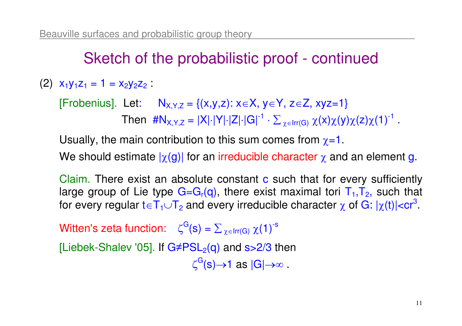### Sketch of the probabilistic proof - continued

(2)  $x_1y_1z_1 = 1 = x_2y_2z_2$ :

[Frobenius]. Let:  $N_{X,Y,Z} = \{(x,y,z): x\in X, y\in Y, z\in Z, xyz=1\}$ Then  $\#N_{X,Y,Z} = |X| \cdot |Y| \cdot |Z| \cdot |G|^{-1} \cdot \Sigma_{|\chi \in \mathbb{R}|}$ ⋅ ∑ $\angle$   $\chi \in \text{Irr}(\mathsf{G})$  $\chi(x)\chi(y)\chi(z)\chi(1)^{-1}$  .

Usually, the main contribution to this sum comes from  $\chi$ =1.

We should estimate  $|\chi({\bf g})|$  for an irreducible character  $\chi$  and an element g.

Claim. There exist an absolute constant c such that for every sufficiently large group of Lie type  $G = G_r(q)$ , there exist maximal tori  $T_1, T_2$ , such that for every regular  $\mathsf{t}\!\in\!\mathsf{T}_1\!\cup\!\mathsf{T}_2$  and every irreducible character  $\chi$  of  $\mathsf{G}\!\cdot\!|\chi(\mathsf{t})|\!\!<\!\!\mathsf{cr}^3$  .

Witten's zeta function:  $\zeta^{\mathrm{G}}(\mathsf{s}) = \Sigma$  $\angle$   $\chi \in \text{Irr}(G)$  $\chi(1)^{-s}$ 

[Liebek-Shalev '05]. If G≠PSL<sub>2</sub>(q) and s>2/3 then

 $\zeta^\mathrm{G}(\mathbf{s}){\rightarrow} \mathbf{1}$  as  $|\mathsf{G}|{\rightarrow}\infty$  .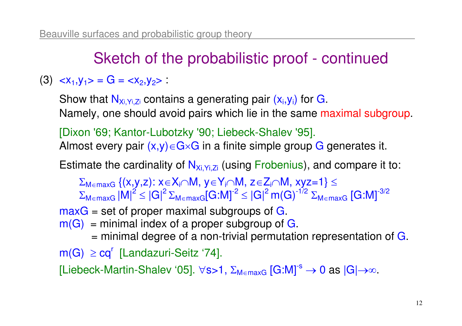### Sketch of the probabilistic proof - continued

#### $(3)$   $\langle x_1, y_1 \rangle = G = \langle x_2, y_2 \rangle$

Show that  $\mathsf{N}_{\mathsf{Xi},\mathsf{Yi},\mathsf{Zi}}$  contains a generating pair  $(\mathsf{x}_{\mathsf{i}},\mathsf{y}_{\mathsf{i}})$  for  $\mathsf{G}_{\mathsf{i}}$ Namely, one should avoid pairs which lie in the same maximal subgroup.

[Dixon '69; Kantor-Lubotzky '90; Liebeck-Shalev '95].Almost every pair (x,y)∈G×G in a finite simple group G generates it.

Estimate the cardinality of  $\mathsf{N}_{\mathsf{Xi},\mathsf{Yi},\mathsf{Zi}}$  (using Frobenius), and compare it to:

 $\Sigma_{\mathsf{M}\in\mathsf{maxG}}\left\{ \mathsf{(x,y,z)}\colon \mathsf{x}\!\in\!\mathsf{X}_{\mathsf{i}}\!\!\cap\!\mathsf{M},\, \mathsf{y}\!\in\!\mathsf{Y}_{\mathsf{i}}\!\!\cap\!\mathsf{M},\, \mathsf{z}\!\in\!\mathsf{Z}_{\mathsf{i}}\!\!\cap\!\mathsf{M},\, \mathsf{x}\mathsf{y}\mathsf{z}\!\!=\!\!\mathsf{1} \right\} \leq$  $\Gamma$  INIII  $\sim$  IOII  $\Gamma$  IOIII  $\sim$  IOIII  $\Sigma_{\mathsf{M}\in\mathsf{maxG}}\left|\mathsf{M}\right|^2\leq\left|\mathsf{G}\right|^2\Sigma_{\mathsf{M}\in\mathsf{maxG}}[\mathsf{G}\text{:}\mathsf{M}]^{\text{-}2}\leq\left|\mathsf{G}\right|^2\mathsf{m}(\mathsf{G})^{\text{-}1/2}\:\Sigma_{\mathsf{M}\in\mathsf{n}}$  $\mathsf{maxG} = \mathsf{set}$  of proper maximal subgroups of  $\mathsf{G}.$  $\rm{^{2}}\leq\left| G\right| ^{2}\Sigma_{M\in\mathsf{maxG}}[G\text{:}M]^{‐2}\leq\left| G\right| ^{2}\text{m}(G)^{‐1/2}\Sigma_{M\in\mathsf{maxG}}\left[ G\text{:}M\right]^{‐3/2}$  $m(G)$  = minimal index of a proper subgroup of G.  $=$  minimal degree of a non-trivial permutation representation of  $\bf G$ .  $\mathsf{m}(\mathsf{G})\ \geq \mathsf{cq}^{\mathsf{r}}\,$  [Landazuri-Seitz '74]. [Liebeck-Martin-Shalev '05]. ∀s>1, Σ<sub>M∈maxG</sub> [G:M]<sup>-s</sup> → 0 as |G|→∞.